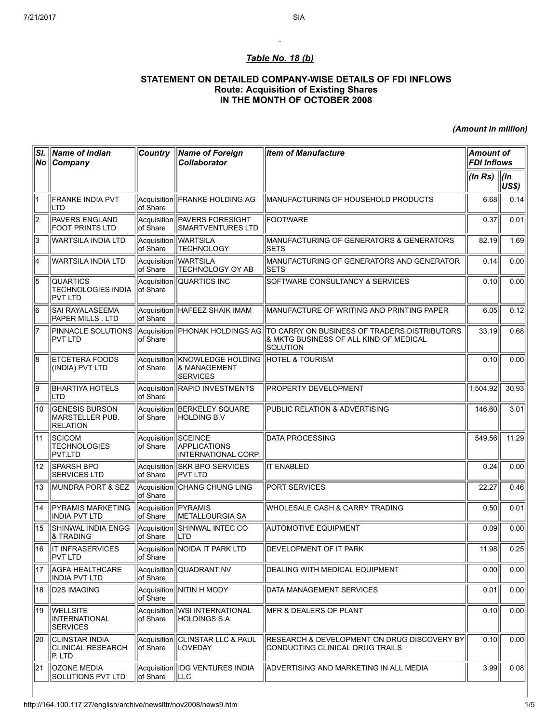## Table No. 18 (b)

## STATEMENT ON DETAILED COMPANY-WISE DETAILS OF FDI INFLOWS Route: Acquisition of Existing Shares IN THE MONTH OF OCTOBER 2008

(Amount in million)

| SI.             | Name of Indian<br>No Company                                | <b>Country</b>                         | <b>Name of Foreign</b><br><b>Collaborator</b>                                     | <b>Item of Manufacture</b>                                                                                                                            | <b>Amount of</b><br><b>FDI Inflows</b> |                      |
|-----------------|-------------------------------------------------------------|----------------------------------------|-----------------------------------------------------------------------------------|-------------------------------------------------------------------------------------------------------------------------------------------------------|----------------------------------------|----------------------|
|                 |                                                             |                                        |                                                                                   |                                                                                                                                                       | (ln Rs)                                | ∣(In<br><b>US\$)</b> |
| 1               | <b>FRANKE INDIA PVT</b><br>ILTD                             | of Share                               | Acquisition   FRANKE HOLDING AG                                                   | IMANUFACTURING OF HOUSEHOLD PRODUCTS                                                                                                                  | 6.68                                   | 0.14                 |
| $\overline{2}$  | <b>PAVERS ENGLAND</b><br><b>FOOT PRINTS LTD</b>             | Acquisition<br>of Share                | <b>PAVERS FORESIGHT</b><br>SMARTVENTURES LTD                                      | <b>IFOOTWARE</b>                                                                                                                                      | 0.37                                   | 0.01                 |
| 3               | WARTSILA INDIA LTD                                          | of Share                               | Acquisition WARTSILA<br><b>TECHNOLOGY</b>                                         | MANUFACTURING OF GENERATORS & GENERATORS<br><b>SETS</b>                                                                                               | 82.19                                  | 1.69                 |
| 4               | WARTSILA INDIA LTD                                          | Acquisition<br>of Share                | <b>WARTSILA</b><br><b>TECHNOLOGY OY AB</b>                                        | MANUFACTURING OF GENERATORS AND GENERATOR<br><b>SETS</b>                                                                                              | 0.14                                   | 0.00                 |
| 5               | <b>QUARTICS</b><br><b>TECHNOLOGIES INDIA</b><br>PVT LTD     | Acquisition<br>of Share                | <b>QUARTICS INC</b>                                                               | SOFTWARE CONSULTANCY & SERVICES                                                                                                                       | 0.10                                   | 0.00                 |
| 6               | SAI RAYALASEEMA<br><b>PAPER MILLS . LTD</b>                 | of Share                               | Acquisition   HAFEEZ SHAIK IMAM                                                   | MANUFACTURE OF WRITING AND PRINTING PAPER                                                                                                             | 6.05                                   | 0.12                 |
| 7               | PVT LTD                                                     | of Share                               |                                                                                   | PINNACLE SOLUTIONS Acquisition PHONAK HOLDINGS AG TO CARRY ON BUSINESS OF TRADERS, DISTRIBUTORS<br>& MKTG BUSINESS OF ALL KIND OF MEDICAL<br>Solution | 33.19                                  | 0.68                 |
| 8               | <b>ETCETERA FOODS</b><br>(INDIA) PVT LTD                    | Acquisition<br>of Share                | KNOWLEDGE HOLDING   HOTEL & TOURISM<br><b>&amp; MANAGEMENT</b><br><b>SERVICES</b> |                                                                                                                                                       | 0.10                                   | 0.00                 |
| g               | <b>BHARTIYA HOTELS</b><br> LTD                              | of Share                               | Acquisition RAPID INVESTMENTS                                                     | <b>PROPERTY DEVELOPMENT</b>                                                                                                                           | 1,504.92                               | 30.93                |
| 10              | <b>GENESIS BURSON</b><br>MARSTELLER PUB.<br><b>RELATION</b> | Acquisition<br>of Share                | BERKELEY SQUARE<br><b>HOLDING B.V</b>                                             | PUBLIC RELATION & ADVERTISING                                                                                                                         | 146.60                                 | 3.01                 |
| 11              | <b>SCICOM</b><br><b>TECHNOLOGIES</b><br>PVT.LTD             | Acquisition<br>of Share                | SCEINCE<br><b>APPLICATIONS</b><br>INTERNATIONAL CORP.                             | <b>DATA PROCESSING</b>                                                                                                                                | 549.56                                 | 11.29                |
| $\overline{12}$ | <b>SPARSH BPO</b><br><b>SERVICES LTD</b>                    | of Share                               | Acquisition SKR BPO SERVICES<br><b>PVT LTD</b>                                    | <b>IT ENABLED</b>                                                                                                                                     | 0.24                                   | 0.00                 |
| 13              | MUNDRA PORT & SEZ                                           | Acquisition<br>of Share                | <b>CHANG CHUNG LING</b>                                                           | <b>PORT SERVICES</b>                                                                                                                                  | 22.27                                  | 0.46                 |
| 14              | <b>PYRAMIS MARKETING</b><br><b>INDIA PVT LTD</b>            | Acquisition <b>PYRAMIS</b><br>of Share | METALLOURGIA SA                                                                   | WHOLESALE CASH & CARRY TRADING                                                                                                                        | 0.50                                   | 0.01                 |
| 15              | SHINWAL INDIA ENGG<br><b>&amp; TRADING</b>                  | Acquisition<br>of Share                | SHINWAL INTEC CO<br><b>ILTD</b>                                                   | <b>AUTOMOTIVE EQUIPMENT</b>                                                                                                                           | 0.09                                   | 0.00                 |
| 16              | <b>IT INFRASERVICES</b><br><b>PVT LTD</b>                   | of Share                               | Acquisition NOIDA IT PARK LTD                                                     | <b>DEVELOPMENT OF IT PARK</b>                                                                                                                         | 11.98                                  | 0.25                 |
| 17              | <b>AGFA HEALTHCARE</b><br><b>INDIA PVT LTD</b>              | Acquisition<br>of Share                | QUADRANT NV                                                                       | DEALING WITH MEDICAL EQUIPMENT                                                                                                                        | 0.00                                   | 0.00                 |
| 18              | <b>D2S IMAGING</b>                                          | of Share                               | Acquisition   NITIN H MODY                                                        | DATA MANAGEMENT SERVICES                                                                                                                              | 0.01                                   | 0.00                 |
| 19              | <b>WELLSITE</b><br>INTERNATIONAL<br><b>SERVICES</b>         | Acquisition<br>of Share                | <b>WSI INTERNATIONAL</b><br> HOLDINGS S.A.                                        | <b>IMFR &amp; DEALERS OF PLANT</b>                                                                                                                    | 0.10                                   | 0.00                 |
| 20              | <b>CLINSTAR INDIA</b><br>CLINICAL RESEARCH<br>P. LTD        | Acquisition<br>of Share                | <b>CLINSTAR LLC &amp; PAUL</b><br>LOVEDAY                                         | RESEARCH & DEVELOPMENT ON DRUG DISCOVERY BY<br>CONDUCTING CLINICAL DRUG TRAILS                                                                        | 0.10                                   | 0.00                 |
| 21              | <b>OZONE MEDIA</b><br>SOLUTIONS PVT LTD                     | of Share                               | Acquisition IDG VENTURES INDIA<br><b>ILLC</b>                                     | ADVERTISING AND MARKETING IN ALL MEDIA                                                                                                                | 3.99                                   | 0.08                 |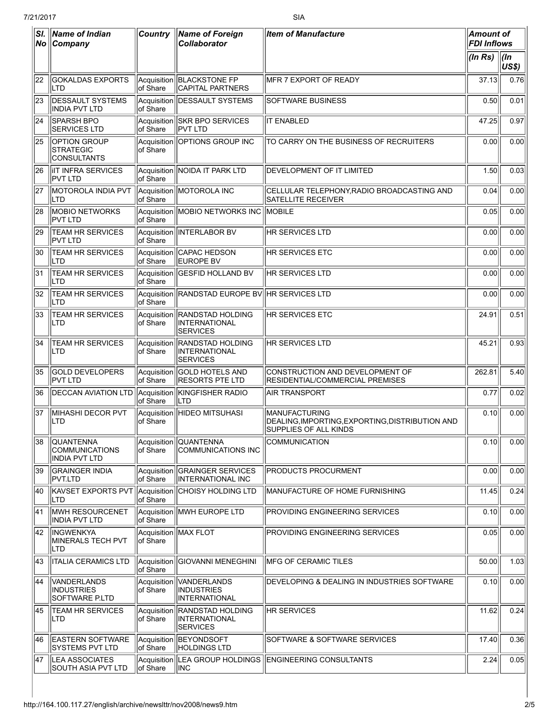| $ N_{\mathbf{O}} $ | SI.   Name of Indian<br><b>Company</b>                            | <b>Country</b>          | <b>Name of Foreign</b><br><b>Collaborator</b>               | <b>Item of Manufacture</b>                                                                       | <b>Amount of</b><br><b>FDI Inflows</b> |                      |
|--------------------|-------------------------------------------------------------------|-------------------------|-------------------------------------------------------------|--------------------------------------------------------------------------------------------------|----------------------------------------|----------------------|
|                    |                                                                   |                         |                                                             |                                                                                                  | (ln Rs)                                | $\vert$ (In<br>US\$) |
| 22                 | <b>GOKALDAS EXPORTS</b><br> LTD                                   | Acquisition<br>of Share | <b>BLACKSTONE FP</b><br><b>CAPITAL PARTNERS</b>             | IMFR 7 EXPORT OF READY                                                                           | 37.13                                  | 0.76                 |
| 23                 | <b>DESSAULT SYSTEMS</b><br>INDIA PVT LTD                          | Acquisition<br>of Share | <b>DESSAULT SYSTEMS</b>                                     | <b>SOFTWARE BUSINESS</b>                                                                         | 0.50                                   | 0.01                 |
| 24                 | SPARSH BPO<br><b>SERVICES LTD</b>                                 | of Share                | Acquisition SKR BPO SERVICES<br><b>PVT LTD</b>              | <b>IT ENABLED</b>                                                                                | 47.25                                  | 0.97                 |
| 25                 | OPTION GROUP<br><b>STRATEGIC</b><br><b>CONSULTANTS</b>            | Acquisition<br>of Share | OPTIONS GROUP INC                                           | TO CARRY ON THE BUSINESS OF RECRUITERS                                                           | 0.00                                   | 0.00                 |
| 26                 | <b>IIT INFRA SERVICES</b><br>PVT LTD                              | of Share                | Acquisition NOIDA IT PARK LTD                               | <b>DEVELOPMENT OF IT LIMITED</b>                                                                 | 1.50                                   | 0.03                 |
| 27                 | MOTOROLA INDIA PVT<br> LTD                                        | of Share                | Acquisition MOTOROLA INC                                    | CELLULAR TELEPHONY,RADIO BROADCASTING AND<br><b>SATELLITE RECEIVER</b>                           | 0.04                                   | 0.00                 |
| 28                 | <b>MOBIO NETWORKS</b><br><b>PVT LTD</b>                           | of Share                | Acquisition MOBIO NETWORKS INC                              | <b>IMOBILE</b>                                                                                   | 0.05                                   | 0.00                 |
| 29                 | <b>TEAM HR SERVICES</b><br>IPVT LTD                               | Acquisition<br>of Share | INTERLABOR BV                                               | <b>HR SERVICES LTD</b>                                                                           | 0.00                                   | 0.00                 |
| 30                 | <b>TEAM HR SERVICES</b><br> LTD                                   | Acquisition<br>of Share | CAPAC HEDSON<br><b>EUROPE BV</b>                            | <b>HR SERVICES ETC</b>                                                                           | 0.00                                   | 0.00                 |
| 31                 | <b>TEAM HR SERVICES</b><br>LTD                                    | Acquisition<br>of Share | <b>GESFID HOLLAND BV</b>                                    | HR SERVICES LTD                                                                                  | 0.00                                   | 0.00                 |
| 32                 | <b>TEAM HR SERVICES</b><br>LTD                                    | Acquisition<br>of Share | RANDSTAD EUROPE BV HR SERVICES LTD                          |                                                                                                  | 0.00                                   | 0.00                 |
| 33                 | <b>TEAM HR SERVICES</b><br>LTD                                    | Acquisition<br>of Share | <b>RANDSTAD HOLDING</b><br>INTERNATIONAL<br><b>SERVICES</b> | <b>HR SERVICES ETC</b>                                                                           | 24.91                                  | 0.51                 |
| 34                 | <b>TEAM HR SERVICES</b><br>LTD                                    | Acquisition<br>of Share | <b>RANDSTAD HOLDING</b><br>INTERNATIONAL<br><b>SERVICES</b> | HR SERVICES LTD                                                                                  | 45.21                                  | 0.93                 |
| 35                 | <b>GOLD DEVELOPERS</b><br>PVT LTD                                 | Acquisition<br>of Share | <b>GOLD HOTELS AND</b><br><b>RESORTS PTE LTD</b>            | CONSTRUCTION AND DEVELOPMENT OF<br>RESIDENTIAL/COMMERCIAL PREMISES                               | 262.81                                 | 5.40                 |
| 36                 | <b>DECCAN AVIATION LTD</b>                                        | Acquisition<br>of Share | KINGFISHER RADIO<br>LTD                                     | <b>AIR TRANSPORT</b>                                                                             | 0.77                                   | 0.02                 |
| 37                 | MIHASHI DECOR PVT<br> LTD                                         | Acquisition<br>of Share | <b>HIDEO MITSUHASI</b>                                      | <b>MANUFACTURING</b><br>DEALING, IMPORTING, EXPORTING, DISTRIBUTION AND<br>SUPPLIES OF ALL KINDS | 0.10                                   | 0.00                 |
| 38                 | <b>QUANTENNA</b><br><b>COMMUNICATIONS</b><br><b>INDIA PVT LTD</b> | Acquisition<br>of Share | <b>QUANTENNA</b><br><b>COMMUNICATIONS INC</b>               | COMMUNICATION                                                                                    | 0.10                                   | 0.00                 |
| 39                 | <b>GRAINGER INDIA</b><br>PVT.LTD                                  | Acquisition<br>of Share | <b>GRAINGER SERVICES</b><br><b>INTERNATIONAL INC</b>        | <b>PRODUCTS PROCURMENT</b>                                                                       | 0.00                                   | 0.00                 |
| 40                 | KAVSET EXPORTS PVT<br>LTD                                         | Acquisition<br>of Share | <b>CHOISY HOLDING LTD</b>                                   | MANUFACTURE OF HOME FURNISHING                                                                   | 11.45                                  | 0.24                 |
| 41                 | MWH RESOURCENET<br>INDIA PVT LTD                                  | Acquisition<br>of Share | <b>MWH EUROPE LTD</b>                                       | PROVIDING ENGINEERING SERVICES                                                                   | 0.10                                   | 0.00                 |
| 42                 | <b>INGWENKYA</b><br>MINERALS TECH PVT<br>LTD                      | lof Share               | Acquisition MAX FLOT                                        | PROVIDING ENGINEERING SERVICES                                                                   | 0.05                                   | 0.00                 |
| 43                 | <b>ITALIA CERAMICS LTD</b>                                        | Acquisition<br>of Share | GIOVANNI MENEGHINI                                          | <b>IMFG OF CERAMIC TILES</b>                                                                     | 50.00                                  | 1.03                 |
| 44                 | VANDERLANDS<br><b>INDUSTRIES</b><br><b>SOFTWARE P.LTD</b>         | Acquisition<br>of Share | <b>VANDERLANDS</b><br><b>INDUSTRIES</b><br>INTERNATIONAL    | DEVELOPING & DEALING IN INDUSTRIES SOFTWARE                                                      | 0.10                                   | 0.00                 |
| 45                 | <b>TEAM HR SERVICES</b><br> LTD                                   | Acquisition<br>of Share | <b>RANDSTAD HOLDING</b><br>INTERNATIONAL<br><b>SERVICES</b> | <b>HR SERVICES</b>                                                                               | 11.62                                  | 0.24                 |
| 46                 | <b>EASTERN SOFTWARE</b><br><b>SYSTEMS PVT LTD</b>                 | Acquisition<br>of Share | BEYONDSOFT<br><b>HOLDINGS LTD</b>                           | SOFTWARE & SOFTWARE SERVICES                                                                     | 17.40                                  | 0.36                 |
| 47                 | <b>LEA ASSOCIATES</b><br>SOUTH ASIA PVT LTD                       | Acquisition<br>of Share | INC                                                         | LEA GROUP HOLDINGS   ENGINEERING CONSULTANTS                                                     | 2.24                                   | 0.05                 |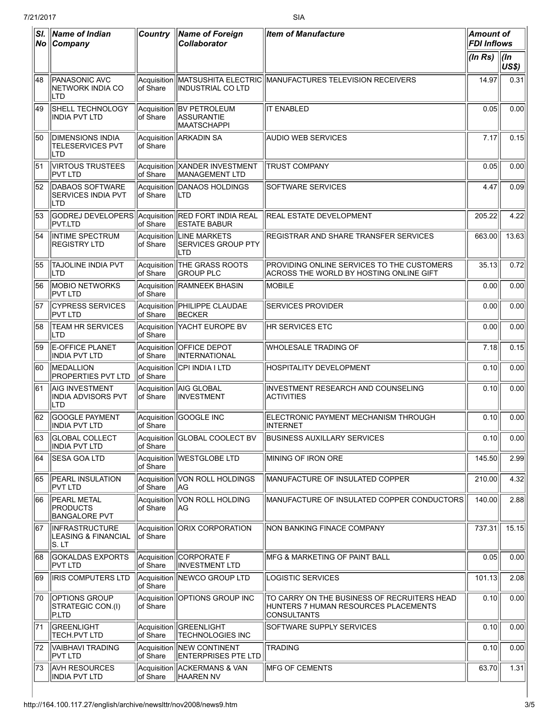| SI. | Name of Indian<br>No Company                                        | <b>Country</b>           | <b>Name of Foreign</b><br><b>Collaborator</b>            | <b>Item of Manufacture</b>                                                                          | <b>Amount of</b><br><b>FDI Inflows</b> |                      |
|-----|---------------------------------------------------------------------|--------------------------|----------------------------------------------------------|-----------------------------------------------------------------------------------------------------|----------------------------------------|----------------------|
|     |                                                                     |                          |                                                          |                                                                                                     | (ln Rs)                                | $\vert$ (ln<br>US\$) |
| 48  | PANASONIC AVC<br>NETWORK INDIA CO<br><b>LTD</b>                     | Acquisition<br>of Share  | <b>INDUSTRIAL CO LTD</b>                                 | MATSUSHITA ELECTRIC MANUFACTURES TELEVISION RECEIVERS                                               | 14.97                                  | 0.31                 |
| 49  | SHELL TECHNOLOGY<br>INDIA PVT LTD                                   | Acquisition<br>lof Share | BV PETROLEUM<br>ASSURANTIE<br>MAATSCHAPPI                | <b>IT ENABLED</b>                                                                                   | 0.05                                   | 0.00                 |
| 150 | <b>DIMENSIONS INDIA</b><br><b>TELESERVICES PVT</b><br><b>LTD</b>    | Acquisition<br>of Share  | ARKADIN SA                                               | <b>AUDIO WEB SERVICES</b>                                                                           | 7.17                                   | 0.15                 |
| 51  | <b>VIRTOUS TRUSTEES</b><br><b>PVT LTD</b>                           | Acquisition<br>of Share  | <b>XANDER INVESTMENT</b><br>MANAGEMENT LTD               | <b>TRUST COMPANY</b>                                                                                | 0.05                                   | 0.00                 |
| 52  | DABAOS SOFTWARE<br><b>SERVICES INDIA PVT</b><br> LTD                | Acquisition<br>of Share  | DANAOS HOLDINGS<br>ILTD                                  | SOFTWARE SERVICES                                                                                   | 4.47                                   | 0.09                 |
| 53  | GODREJ DEVELOPERS Acquisition RED FORT INDIA REAL<br><b>PVT.LTD</b> | of Share                 | <b>ESTATE BABUR</b>                                      | <b>REAL ESTATE DEVELOPMENT</b>                                                                      | 205.22                                 | 4.22                 |
| 54  | <b>INTIME SPECTRUM</b><br><b>REGISTRY LTD</b>                       | Acquisition<br>of Share  | <b>LINE MARKETS</b><br><b>SERVICES GROUP PTY</b><br>ILTD | REGISTRAR AND SHARE TRANSFER SERVICES                                                               | 663.00                                 | 13.63                |
| 55  | <b>TAJOLINE INDIA PVT</b><br><b>LTD</b>                             | Acquisition<br>of Share  | <b>THE GRASS ROOTS</b><br><b>GROUP PLC</b>               | PROVIDING ONLINE SERVICES TO THE CUSTOMERS<br>ACROSS THE WORLD BY HOSTING ONLINE GIFT               | 35.13                                  | 0.72                 |
| 56  | <b>MOBIO NETWORKS</b><br><b>PVT LTD</b>                             | Acquisition<br>of Share  | RAMNEEK BHASIN                                           | <b>MOBILE</b>                                                                                       | 0.00                                   | 0.00                 |
| 57  | <b>CYPRESS SERVICES</b><br>IPVT LTD                                 | of Share                 | Acquisition   PHILIPPE CLAUDAE<br><b>BECKER</b>          | <b>SERVICES PROVIDER</b>                                                                            | 0.00                                   | 0.00                 |
| 58  | <b>TEAM HR SERVICES</b><br><b>LTD</b>                               | Acquisition<br>of Share  | <b>YACHT EUROPE BV</b>                                   | <b>HR SERVICES ETC</b>                                                                              | 0.00                                   | 0.00                 |
| 59  | <b>E-OFFICE PLANET</b><br><b>INDIA PVT LTD</b>                      | Acquisition<br>of Share  | <b>OFFICE DEPOT</b><br>INTERNATIONAL                     | WHOLESALE TRADING OF                                                                                | 7.18                                   | 0.15                 |
| 160 | MEDALLION<br><b>PROPERTIES PVT LTD</b>                              | Acquisition<br>of Share  | CPI INDIA I LTD                                          | <b>HOSPITALITY DEVELOPMENT</b>                                                                      | 0.10                                   | 0.00                 |
| 61  | AIG INVESTMENT<br><b>INDIA ADVISORS PVT</b><br><b>LTD</b>           | Acquisition<br>of Share  | AIG GLOBAL<br>INVESTMENT                                 | INVESTMENT RESEARCH AND COUNSELING<br><b>ACTIVITIES</b>                                             | 0.10                                   | 0.00                 |
| 62  | GOOGLE PAYMENT<br>IINDIA PVT LTD                                    | Acquisition<br>of Share  | GOOGLE INC                                               | ELECTRONIC PAYMENT MECHANISM THROUGH<br><b>INTERNET</b>                                             | 0.10                                   | 0.00                 |
|     | 63 GLOBAL COLLECT<br><b>INDIA PVT LTD</b>                           | of Share                 | Acquisition GLOBAL COOLECT BV                            | <b>BUSINESS AUXILLARY SERVICES</b>                                                                  | 0.10                                   | 0.00                 |
| 64  | <b>SESA GOA LTD</b>                                                 | Acquisition<br>of Share  | <b>IWESTGLOBE LTD</b>                                    | MINING OF IRON ORE                                                                                  | 145.50                                 | 2.99                 |
| 65  | <b>PEARL INSULATION</b><br><b>PVT LTD</b>                           | Acquisition<br>of Share  | VON ROLL HOLDINGS<br> AG                                 | MANUFACTURE OF INSULATED COPPER                                                                     | 210.00                                 | 4.32                 |
| 66  | <b>PEARL METAL</b><br><b>PRODUCTS</b><br><b>BANGALORE PVT</b>       | Acquisition<br>of Share  | VON ROLL HOLDING<br> AG                                  | MANUFACTURE OF INSULATED COPPER CONDUCTORS                                                          | 140.00                                 | 2.88                 |
| 67  | <b>INFRASTRUCTURE</b><br>LEASING & FINANCIAL<br>ls. LT              | Acquisition<br>of Share  | <b>ORIX CORPORATION</b>                                  | NON BANKING FINACE COMPANY                                                                          | 737.31                                 | 15.15                |
| 68  | GOKALDAS EXPORTS<br><b>PVT LTD</b>                                  | Acquisition<br>of Share  | CORPORATE F<br><b>INVESTMENT LTD</b>                     | MFG & MARKETING OF PAINT BALL                                                                       | 0.05                                   | 0.00                 |
| 69  | <b>IRIS COMPUTERS LTD</b>                                           | Acquisition<br>of Share  | <b>INEWCO GROUP LTD</b>                                  | <b>LOGISTIC SERVICES</b>                                                                            | 101.13                                 | 2.08                 |
| 70  | <b>OPTIONS GROUP</b><br>STRATEGIC CON.(I)<br>P.LTD                  | Acquisition<br>of Share  | <b>OPTIONS GROUP INC</b>                                 | TO CARRY ON THE BUSINESS OF RECRUITERS HEAD<br>HUNTERS 7 HUMAN RESOURCES PLACEMENTS<br> CONSULTANTS | 0.10                                   | 0.00                 |
| 71  | GREENLIGHT<br><b>TECH.PVT LTD</b>                                   | Acquisition<br>of Share  | <b>GREENLIGHT</b><br><b>TECHNOLOGIES INC</b>             | SOFTWARE SUPPLY SERVICES                                                                            | 0.10                                   | 0.00                 |
| 72  | VAIBHAVI TRADING<br>PVT LTD                                         | Acquisition<br>of Share  | <b>INEW CONTINENT</b><br><b>ENTERPRISES PTE LTD</b>      | <b>TRADING</b>                                                                                      | 0.10                                   | 0.00                 |
| 73  | <b>AVH RESOURCES</b><br><b>INDIA PVT LTD</b>                        | Acquisition<br>of Share  | ACKERMANS & VAN<br>HAAREN NV                             | <b>IMFG OF CEMENTS</b>                                                                              | 63.70                                  | 1.31                 |

 $\overline{a}$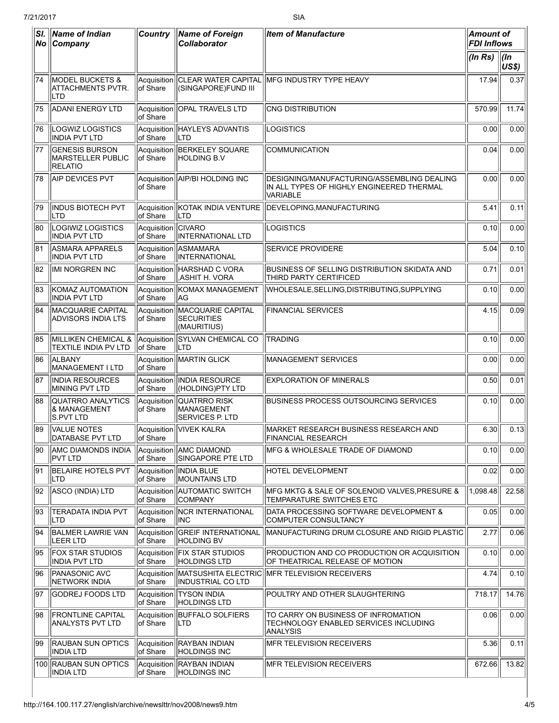| SI.<br>$ N_{\mathbf{O}} $ | <b>Name of Indian</b><br>Company                             | <b>Country</b>                  | <b>Name of Foreign</b><br><b>Collaborator</b>         | <b>Item of Manufacture</b>                                                                          | <b>Amount of</b><br><b>FDI Inflows</b> |                   |
|---------------------------|--------------------------------------------------------------|---------------------------------|-------------------------------------------------------|-----------------------------------------------------------------------------------------------------|----------------------------------------|-------------------|
|                           |                                                              |                                 |                                                       |                                                                                                     | (ln Rs)                                | $ $ (In<br>US\$)  |
| 74                        | <b>MODEL BUCKETS &amp;</b><br>IATTACHMENTS PVTR.<br> LTD     | Acquisition<br>lof Share        | (SINGAPORE)FUND III                                   | CLEAR WATER CAPITAL  MFG INDUSTRY TYPE HEAVY                                                        | 17.94                                  | 0.37              |
| 75                        | <b>ADANI ENERGY LTD</b>                                      | of Share                        | Acquisition   OPAL TRAVELS LTD                        | CNG DISTRIBUTION                                                                                    | 570.99                                 | 11.74             |
| 176                       | LOGWIZ LOGISTICS<br>IINDIA PVT LTD                           | of Share                        | Acquisition   HAYLEYS ADVANTIS<br>ILTD                | LOGISTICS                                                                                           | 0.00                                   | 0.00              |
| 177                       | <b>GENESIS BURSON</b><br>MARSTELLER PUBLIC<br><b>RELATIO</b> | Acquisition<br>lof Share        | BERKELEY SQUARE<br><b>HOLDING B.V</b>                 | COMMUNICATION                                                                                       | 0.04                                   | 0.00              |
| 78                        | AIP DEVICES PVT                                              | lof Share                       | Acquisition AIP/BI HOLDING INC                        | DESIGNING/MANUFACTURING/ASSEMBLING DEALING<br>IN ALL TYPES OF HIGHLY ENGINEERED THERMAL<br>VARIABLE | 0.00                                   | 0.00              |
| 79                        | <b>INDUS BIOTECH PVT</b><br>ILTD                             | lof Share                       | <b>LTD</b>                                            | Acquisition KOTAK INDIA VENTURE DEVELOPING, MANUFACTURING                                           | 5.41                                   | 0.11              |
| 80                        | LOGIWIZ LOGISTICS<br><b>INDIA PVT LTD</b>                    | Acquisition CIVARO<br>lof Share | <b>INTERNATIONAL LTD</b>                              | LOGISTICS                                                                                           | 0.10                                   | 0.00              |
| 81                        | <b>ASMARA APPARELS</b><br><b>INDIA PVT LTD</b>               | Acquisition<br>of Share         | <b>IASMAMARA</b><br>INTERNATIONAL                     | <b>SERVICE PROVIDERE</b>                                                                            | 5.04                                   | 0.10              |
| 82                        | <b>IMI NORGREN INC</b>                                       | Acquisition<br>of Share         | HARSHAD C VORA<br>,ASHIT H. VORA                      | BUSINESS OF SELLING DISTRIBUTION SKIDATA AND<br>THIRD PARTY CERTIFICED                              | 0.71                                   | 0.01              |
| 83                        | <b>KOMAZ AUTOMATION</b><br>INDIA PVT LTD                     | of Share                        | Acquisition   KOMAX MANAGEMENT<br> AG                 | WHOLESALE, SELLING, DISTRIBUTING, SUPPLYING                                                         | 0.10                                   | 0.00              |
| 84                        | MACQUARIE CAPITAL<br>ADVISORS INDIA LTS                      | Acquisition<br>of Share         | MACQUARIE CAPITAL<br><b>SECURITIES</b><br>(MAURITIUS) | <b>FINANCIAL SERVICES</b>                                                                           | 4.15                                   | 0.09              |
| 85                        | MILLIKEN CHEMICAL &<br><b>TEXTILE INDIA PV LTD</b>           | Acquisition<br>of Share         | SYLVAN CHEMICAL CO<br>ILTD                            | <b>TRADING</b>                                                                                      | 0.10                                   | 0.00              |
| 86                        | <b>ALBANY</b><br>MANAGEMENT I LTD                            | of Share                        | Acquisition MARTIN GLICK                              | MANAGEMENT SERVICES                                                                                 | 0.00                                   | 0.00              |
| 87                        | <b>INDIA RESOURCES</b><br>MINING PVT LTD                     | of Share                        | Acquisition IINDIA RESOURCE<br>(HOLDING)PTY LTD       | <b>EXPLORATION OF MINERALS</b>                                                                      | 0.50                                   | 0.01              |
| 88                        | QUATRRO ANALYTICS<br><b>&amp; MANAGEMENT</b><br>S.PVT LTD    | Acquisition<br>of Share         | QUATRRO RISK<br> MANAGEMENT<br><b>SERVICES P. LTD</b> | BUSINESS PROCESS OUTSOURCING SERVICES                                                               | 0.10                                   | 0.00              |
| 89                        | <b>VALUE NOTES</b><br> DAIABASE PV I LID                     | of Share                        | Acquisition VIVEK KALRA                               | MARKET RESEARCH BUSINESS RESEARCH AND<br> FINANCIAL RESEARCH                                        | 6.30                                   | 0.13              |
| 190                       | <b>AMC DIAMONDS INDIA</b><br> PVT LTD                        | Acquisition<br>of Share         | <b>AMC DIAMOND</b><br>SINGAPORE PTE LTD               | <b>IMFG &amp; WHOLESALE TRADE OF DIAMOND</b>                                                        | 0.10                                   | 0.00              |
| 91                        | <b>BELAIRE HOTELS PVT</b><br>ILTD                            | Acquisition<br>of Share         | <b>INDIA BLUE</b><br><b>MOUNTAINS LTD</b>             | <b>HOTEL DEVELOPMENT</b>                                                                            | 0.02                                   | 0.00              |
| 92                        | ASCO (INDIA) LTD                                             | Acquisition<br>of Share         | AUTOMATIC SWITCH<br><b>COMPANY</b>                    | MFG MKTG & SALE OF SOLENOID VALVES, PRESURE &<br><b>TEMPARATURE SWITCHES ETC</b>                    | 1,098.48                               | 22.58             |
| 93                        | <b>TERADATA INDIA PVT</b><br> LTD                            | Acquisition<br>of Share         | NCR INTERNATIONAL<br> INC                             | DATA PROCESSING SOFTWARE DEVELOPMENT &<br>COMPUTER CONSULTANCY                                      | 0.05                                   | 0.00              |
| 94                        | <b>BALMER LAWRIE VAN</b><br><b>LEER LTD</b>                  | Acquisition<br>of Share         | <b>GREIF INTERNATIONAL</b><br><b>HOLDING BV</b>       | MANUFACTURING DRUM CLOSURE AND RIGID PLASTIC                                                        | 2.77                                   | 0.06              |
| 95                        | <b>FOX STAR STUDIOS</b><br><b>INDIA PVT LTD</b>              | of Share                        | Acquisition FIX STAR STUDIOS<br><b>HOLDINGS LTD</b>   | PRODUCTION AND CO PRODUCTION OR ACQUISITION<br>OF THEATRICAL RELEASE OF MOTION                      | 0.10                                   | $\overline{0.00}$ |
| 96                        | <b>PANASONIC AVC</b><br>NETWORK INDIA                        | Acquisition<br>of Share         | INDUSTRIAL CO LTD                                     | MATSUSHITA ELECTRIC  MFR TELEVISION RECEIVERS                                                       | 4.74                                   | 0.10              |
| 197                       | GODREJ FOODS LTD                                             | Acquisition<br>of Share         | <b>TYSON INDIA</b><br><b>HOLDINGS LTD</b>             | POULTRY AND OTHER SLAUGHTERING                                                                      | 718.17                                 | 14.76             |
| 98                        | <b>FRONTLINE CAPITAL</b><br>ANALYSTS PVT LTD                 | Acquisition<br>of Share         | <b>BUFFALO SOLFIERS</b><br>ILTD                       | TO CARRY ON BUSINESS OF INFROMATION<br>TECHNOLOGY ENABLED SERVICES INCLUDING<br><b>ANALYSIS</b>     | 0.06                                   | 0.00              |
| 99                        | <b>RAUBAN SUN OPTICS</b><br>INDIA LTD                        | Acquisition<br>of Share         | <b>RAYBAN INDIAN</b><br>HOLDINGS INC                  | <b>MFR TELEVISION RECEIVERS</b>                                                                     | 5.36                                   | 0.11              |
|                           | 100 RAUBAN SUN OPTICS<br><b>INDIA LTD</b>                    | Acquisition<br>of Share         | <b>RAYBAN INDIAN</b><br><b>HOLDINGS INC</b>           | <b>MFR TELEVISION RECEIVERS</b>                                                                     | 672.66                                 | 13.82             |